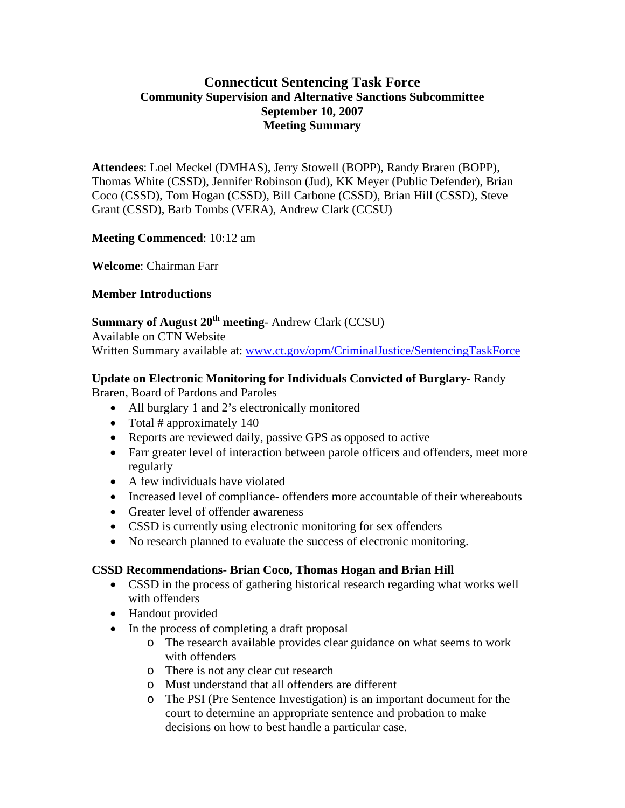# **Connecticut Sentencing Task Force Community Supervision and Alternative Sanctions Subcommittee September 10, 2007 Meeting Summary**

**Attendees**: Loel Meckel (DMHAS), Jerry Stowell (BOPP), Randy Braren (BOPP), Thomas White (CSSD), Jennifer Robinson (Jud), KK Meyer (Public Defender), Brian Coco (CSSD), Tom Hogan (CSSD), Bill Carbone (CSSD), Brian Hill (CSSD), Steve Grant (CSSD), Barb Tombs (VERA), Andrew Clark (CCSU)

**Meeting Commenced**: 10:12 am

**Welcome**: Chairman Farr

## **Member Introductions**

**Summary of August 20th meeting**- Andrew Clark (CCSU)

Available on CTN Website Written Summary available at: [www.ct.gov/opm/CriminalJustice/SentencingTaskForce](http://www.ct.gov/opm/CriminalJustice/SentencingTaskForce)

## **Update on Electronic Monitoring for Individuals Convicted of Burglary-** Randy

Braren, Board of Pardons and Paroles

- All burglary 1 and 2's electronically monitored
- Total # approximately 140
- Reports are reviewed daily, passive GPS as opposed to active
- Farr greater level of interaction between parole officers and offenders, meet more regularly
- A few individuals have violated
- Increased level of compliance- offenders more accountable of their whereabouts
- Greater level of offender awareness
- CSSD is currently using electronic monitoring for sex offenders
- No research planned to evaluate the success of electronic monitoring.

## **CSSD Recommendations- Brian Coco, Thomas Hogan and Brian Hill**

- CSSD in the process of gathering historical research regarding what works well with offenders
- Handout provided
- In the process of completing a draft proposal
	- o The research available provides clear guidance on what seems to work with offenders
	- o There is not any clear cut research
	- o Must understand that all offenders are different
	- o The PSI (Pre Sentence Investigation) is an important document for the court to determine an appropriate sentence and probation to make decisions on how to best handle a particular case.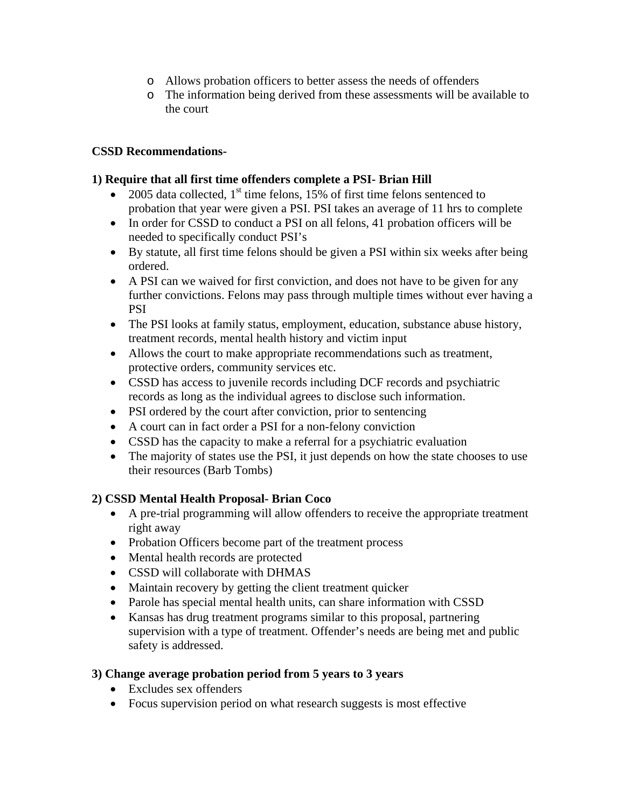- o Allows probation officers to better assess the needs of offenders
- o The information being derived from these assessments will be available to the court

## **CSSD Recommendations-**

## **1) Require that all first time offenders complete a PSI- Brian Hill**

- 2005 data collected,  $1<sup>st</sup>$  time felons, 15% of first time felons sentenced to probation that year were given a PSI. PSI takes an average of 11 hrs to complete
- In order for CSSD to conduct a PSI on all felons, 41 probation officers will be needed to specifically conduct PSI's
- By statute, all first time felons should be given a PSI within six weeks after being ordered.
- A PSI can we waived for first conviction, and does not have to be given for any further convictions. Felons may pass through multiple times without ever having a PSI
- The PSI looks at family status, employment, education, substance abuse history, treatment records, mental health history and victim input
- Allows the court to make appropriate recommendations such as treatment, protective orders, community services etc.
- CSSD has access to juvenile records including DCF records and psychiatric records as long as the individual agrees to disclose such information.
- PSI ordered by the court after conviction, prior to sentencing
- A court can in fact order a PSI for a non-felony conviction
- CSSD has the capacity to make a referral for a psychiatric evaluation
- The majority of states use the PSI, it just depends on how the state chooses to use their resources (Barb Tombs)

## **2) CSSD Mental Health Proposal- Brian Coco**

- A pre-trial programming will allow offenders to receive the appropriate treatment right away
- Probation Officers become part of the treatment process
- Mental health records are protected
- CSSD will collaborate with DHMAS
- Maintain recovery by getting the client treatment quicker
- Parole has special mental health units, can share information with CSSD
- Kansas has drug treatment programs similar to this proposal, partnering supervision with a type of treatment. Offender's needs are being met and public safety is addressed.

## **3) Change average probation period from 5 years to 3 years**

- Excludes sex offenders
- Focus supervision period on what research suggests is most effective